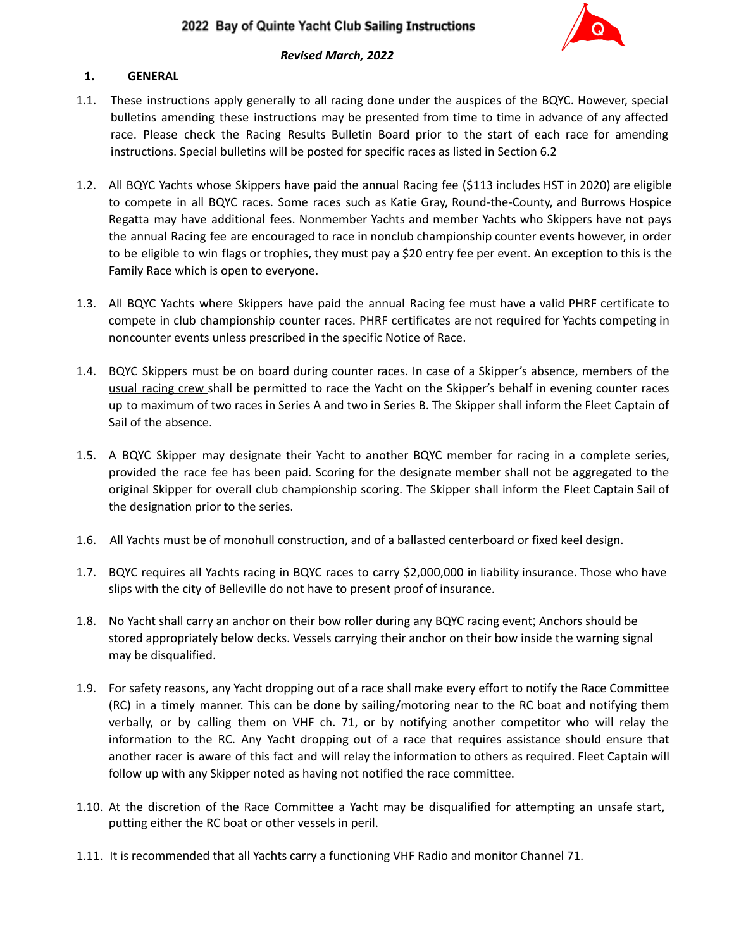

## *Revised March, 2022*

### **1. GENERAL**

- 1.1. These instructions apply generally to all racing done under the auspices of the BQYC. However, special bulletins amending these instructions may be presented from time to time in advance of any affected race. Please check the Racing Results Bulletin Board prior to the start of each race for amending instructions. Special bulletins will be posted for specific races as listed in Section 6.2
- 1.2. All BQYC Yachts whose Skippers have paid the annual Racing fee (\$113 includes HST in 2020) are eligible to compete in all BQYC races. Some races such as Katie Gray, Round-the-County, and Burrows Hospice Regatta may have additional fees. Nonmember Yachts and member Yachts who Skippers have not pays the annual Racing fee are encouraged to race in nonclub championship counter events however, in order to be eligible to win flags or trophies, they must pay a \$20 entry fee per event. An exception to this is the Family Race which is open to everyone.
- 1.3. All BQYC Yachts where Skippers have paid the annual Racing fee must have a valid PHRF certificate to compete in club championship counter races. PHRF certificates are not required for Yachts competing in noncounter events unless prescribed in the specific Notice of Race.
- 1.4. BQYC Skippers must be on board during counter races. In case of a Skipper's absence, members of the usual racing crew shall be permitted to race the Yacht on the Skipper's behalf in evening counter races up to maximum of two races in Series A and two in Series B. The Skipper shall inform the Fleet Captain of Sail of the absence.
- 1.5. A BQYC Skipper may designate their Yacht to another BQYC member for racing in a complete series, provided the race fee has been paid. Scoring for the designate member shall not be aggregated to the original Skipper for overall club championship scoring. The Skipper shall inform the Fleet Captain Sail of the designation prior to the series.
- 1.6. All Yachts must be of monohull construction, and of a ballasted centerboard or fixed keel design.
- 1.7. BQYC requires all Yachts racing in BQYC races to carry \$2,000,000 in liability insurance. Those who have slips with the city of Belleville do not have to present proof of insurance.
- 1.8. No Yacht shall carry an anchor on their bow roller during any BQYC racing event; Anchors should be stored appropriately below decks. Vessels carrying their anchor on their bow inside the warning signal may be disqualified.
- 1.9. For safety reasons, any Yacht dropping out of a race shall make every effort to notify the Race Committee (RC) in a timely manner. This can be done by sailing/motoring near to the RC boat and notifying them verbally, or by calling them on VHF ch. 71, or by notifying another competitor who will relay the information to the RC. Any Yacht dropping out of a race that requires assistance should ensure that another racer is aware of this fact and will relay the information to others as required. Fleet Captain will follow up with any Skipper noted as having not notified the race committee.
- 1.10. At the discretion of the Race Committee a Yacht may be disqualified for attempting an unsafe start, putting either the RC boat or other vessels in peril.
- 1.11. It is recommended that all Yachts carry a functioning VHF Radio and monitor Channel 71.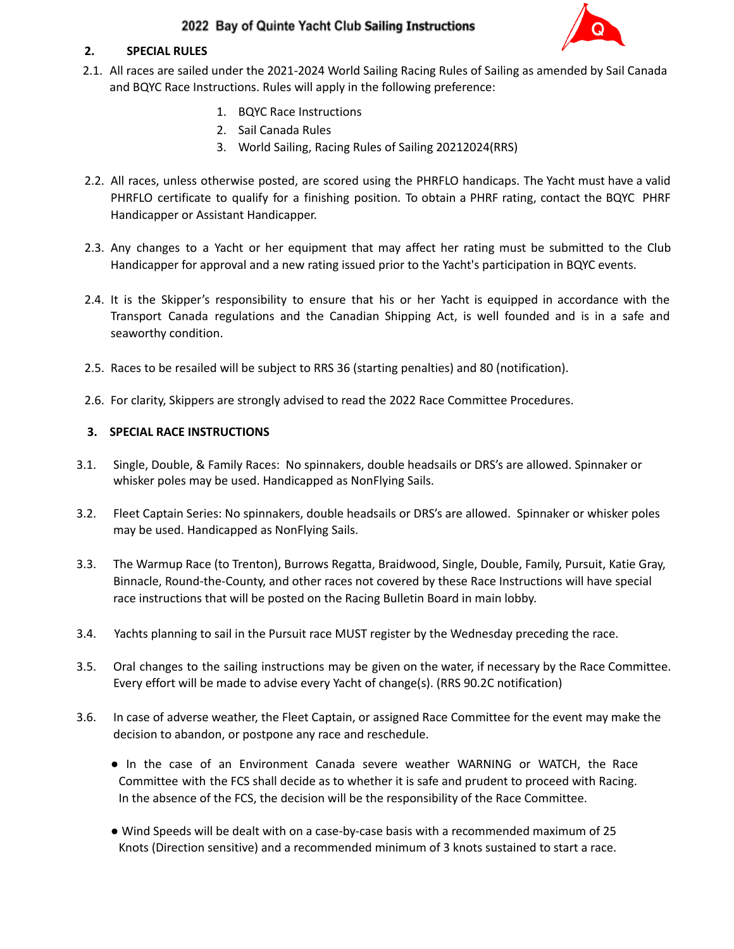

#### **2. SPECIAL RULES**

- 2.1. All races are sailed under the 2021-2024 World Sailing Racing Rules of Sailing as amended by Sail Canada and BQYC Race Instructions. Rules will apply in the following preference:
	- 1. BQYC Race Instructions
	- 2. Sail Canada Rules
	- 3. World Sailing, Racing Rules of Sailing 20212024(RRS)
- 2.2. All races, unless otherwise posted, are scored using the PHRFLO handicaps. The Yacht must have a valid PHRFLO certificate to qualify for a finishing position. To obtain a PHRF rating, contact the BQYC PHRF Handicapper or Assistant Handicapper.
- 2.3. Any changes to a Yacht or her equipment that may affect her rating must be submitted to the Club Handicapper for approval and a new rating issued prior to the Yacht's participation in BQYC events.
- 2.4. It is the Skipper's responsibility to ensure that his or her Yacht is equipped in accordance with the Transport Canada regulations and the Canadian Shipping Act, is well founded and is in a safe and seaworthy condition.
- 2.5. Races to be resailed will be subject to RRS 36 (starting penalties) and 80 (notification).
- 2.6. For clarity, Skippers are strongly advised to read the 2022 Race Committee Procedures.

### **3. SPECIAL RACE INSTRUCTIONS**

- 3.1. Single, Double, & Family Races: No spinnakers, double headsails or DRS's are allowed. Spinnaker or whisker poles may be used. Handicapped as NonFlying Sails.
- 3.2. Fleet Captain Series: No spinnakers, double headsails or DRS's are allowed. Spinnaker or whisker poles may be used. Handicapped as NonFlying Sails.
- 3.3. The Warmup Race (to Trenton), Burrows Regatta, Braidwood, Single, Double, Family, Pursuit, Katie Gray, Binnacle, Round-the-County, and other races not covered by these Race Instructions will have special race instructions that will be posted on the Racing Bulletin Board in main lobby.
- 3.4. Yachts planning to sail in the Pursuit race MUST register by the Wednesday preceding the race.
- 3.5. Oral changes to the sailing instructions may be given on the water, if necessary by the Race Committee. Every effort will be made to advise every Yacht of change(s). (RRS 90.2C notification)
- 3.6. In case of adverse weather, the Fleet Captain, or assigned Race Committee for the event may make the decision to abandon, or postpone any race and reschedule.
	- In the case of an Environment Canada severe weather WARNING or WATCH, the Race Committee with the FCS shall decide as to whether it is safe and prudent to proceed with Racing. In the absence of the FCS, the decision will be the responsibility of the Race Committee.
	- Wind Speeds will be dealt with on a case-by-case basis with a recommended maximum of 25 Knots (Direction sensitive) and a recommended minimum of 3 knots sustained to start a race.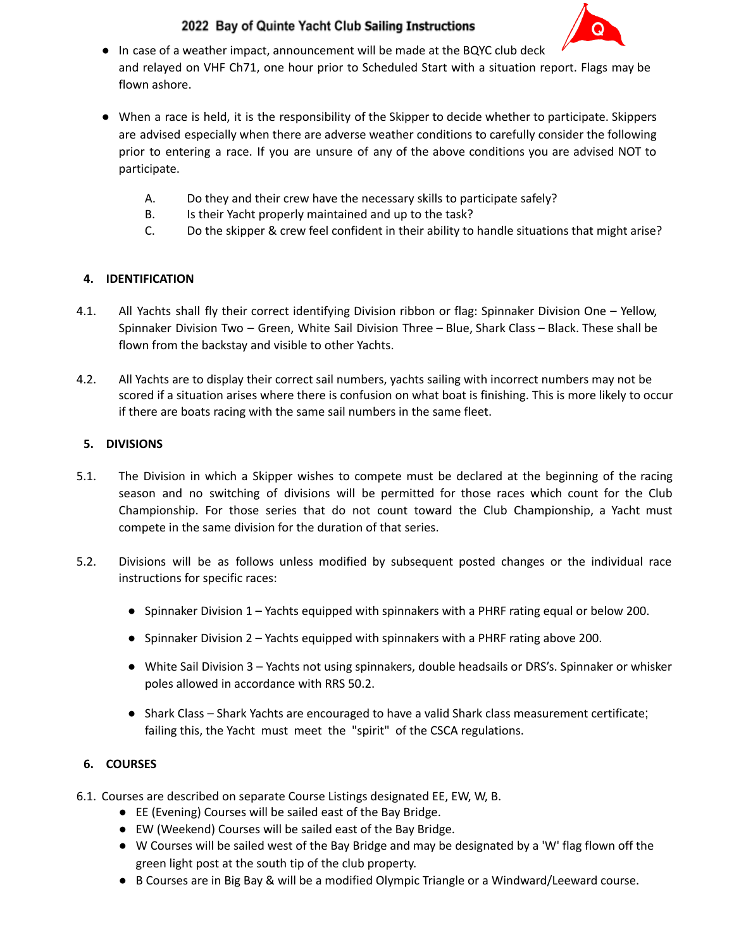

- In case of a weather impact, announcement will be made at the BQYC club deck and relayed on VHF Ch71, one hour prior to Scheduled Start with a situation report. Flags may be flown ashore.
- When a race is held, it is the responsibility of the Skipper to decide whether to participate. Skippers are advised especially when there are adverse weather conditions to carefully consider the following prior to entering a race. If you are unsure of any of the above conditions you are advised NOT to participate.
	- A. Do they and their crew have the necessary skills to participate safely?
	- B. Is their Yacht properly maintained and up to the task?
	- C. Do the skipper & crew feel confident in their ability to handle situations that might arise?

## **4. IDENTIFICATION**

- 4.1. All Yachts shall fly their correct identifying Division ribbon or flag: Spinnaker Division One Yellow, Spinnaker Division Two – Green, White Sail Division Three – Blue, Shark Class – Black. These shall be flown from the backstay and visible to other Yachts.
- 4.2. All Yachts are to display their correct sail numbers, yachts sailing with incorrect numbers may not be scored if a situation arises where there is confusion on what boat is finishing. This is more likely to occur if there are boats racing with the same sail numbers in the same fleet.

## **5. DIVISIONS**

- 5.1. The Division in which a Skipper wishes to compete must be declared at the beginning of the racing season and no switching of divisions will be permitted for those races which count for the Club Championship. For those series that do not count toward the Club Championship, a Yacht must compete in the same division for the duration of that series.
- 5.2. Divisions will be as follows unless modified by subsequent posted changes or the individual race instructions for specific races:
	- Spinnaker Division 1 Yachts equipped with spinnakers with a PHRF rating equal or below 200.
	- Spinnaker Division 2 Yachts equipped with spinnakers with a PHRF rating above 200.
	- White Sail Division 3 Yachts not using spinnakers, double headsails or DRS's. Spinnaker or whisker poles allowed in accordance with RRS 50.2.
	- Shark Class Shark Yachts are encouraged to have a valid Shark class measurement certificate; failing this, the Yacht must meet the "spirit" of the CSCA regulations.

## **6. COURSES**

- 6.1. Courses are described on separate Course Listings designated EE, EW, W, B.
	- EE (Evening) Courses will be sailed east of the Bay Bridge.
	- EW (Weekend) Courses will be sailed east of the Bay Bridge.
	- W Courses will be sailed west of the Bay Bridge and may be designated by a 'W' flag flown off the green light post at the south tip of the club property.
	- B Courses are in Big Bay & will be a modified Olympic Triangle or a Windward/Leeward course.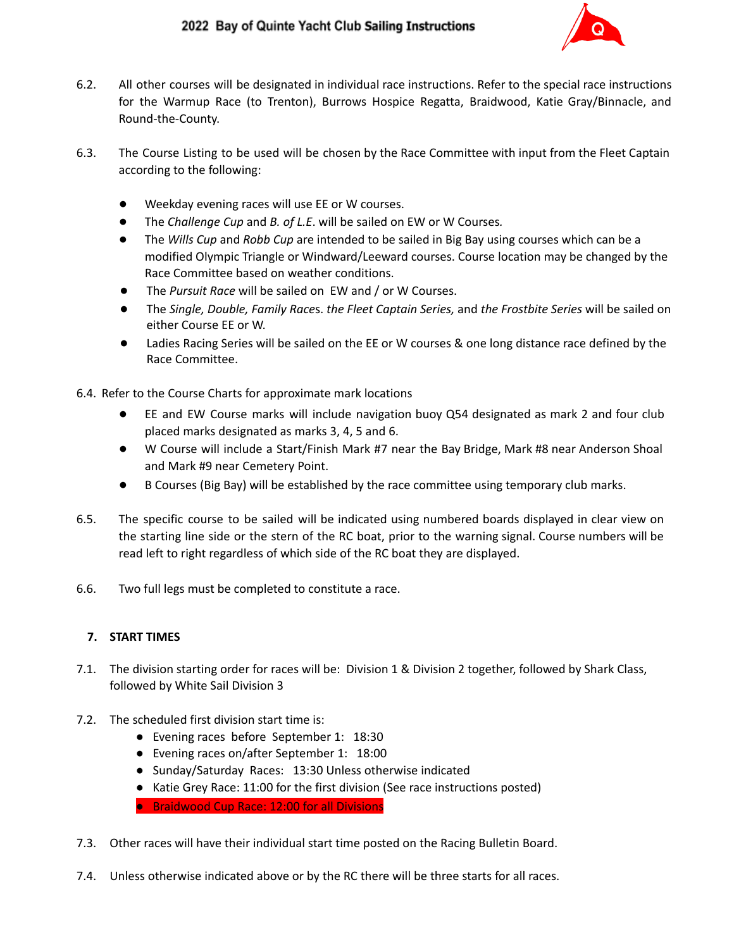

- 6.2. All other courses will be designated in individual race instructions. Refer to the special race instructions for the Warmup Race (to Trenton), Burrows Hospice Regatta, Braidwood, Katie Gray/Binnacle, and Round-the-County.
- 6.3. The Course Listing to be used will be chosen by the Race Committee with input from the Fleet Captain according to the following:
	- Weekday evening races will use EE or W courses.
	- The *Challenge Cup* and *B. of L.E*. will be sailed on EW or W Courses*.*
	- The *Wills Cup* and *Robb Cup* are intended to be sailed in Big Bay using courses which can be a modified Olympic Triangle or Windward/Leeward courses. Course location may be changed by the Race Committee based on weather conditions.
	- The *Pursuit Race* will be sailed on EW and / or W Courses.
	- The *Single, Double, Family Race*s. *the Fleet Captain Series,* and *the Frostbite Series* will be sailed on either Course EE or W.
	- Ladies Racing Series will be sailed on the EE or W courses & one long distance race defined by the Race Committee.
- 6.4. Refer to the Course Charts for approximate mark locations
	- EE and EW Course marks will include navigation buoy Q54 designated as mark 2 and four club placed marks designated as marks 3, 4, 5 and 6.
	- W Course will include a Start/Finish Mark #7 near the Bay Bridge, Mark #8 near Anderson Shoal and Mark #9 near Cemetery Point.
	- B Courses (Big Bay) will be established by the race committee using temporary club marks.
- 6.5. The specific course to be sailed will be indicated using numbered boards displayed in clear view on the starting line side or the stern of the RC boat, prior to the warning signal. Course numbers will be read left to right regardless of which side of the RC boat they are displayed.
- 6.6. Two full legs must be completed to constitute a race.

#### **7. START TIMES**

- 7.1. The division starting order for races will be: Division 1 & Division 2 together, followed by Shark Class, followed by White Sail Division 3
- 7.2. The scheduled first division start time is:
	- Evening races before September 1: 18:30
	- Evening races on/after September 1: 18:00
	- Sunday/Saturday Races: 13:30 Unless otherwise indicated
	- Katie Grey Race: 11:00 for the first division (See race instructions posted)

● Braidwood Cup Race: 12:00 for all Divisions

- 7.3. Other races will have their individual start time posted on the Racing Bulletin Board.
- 7.4. Unless otherwise indicated above or by the RC there will be three starts for all races.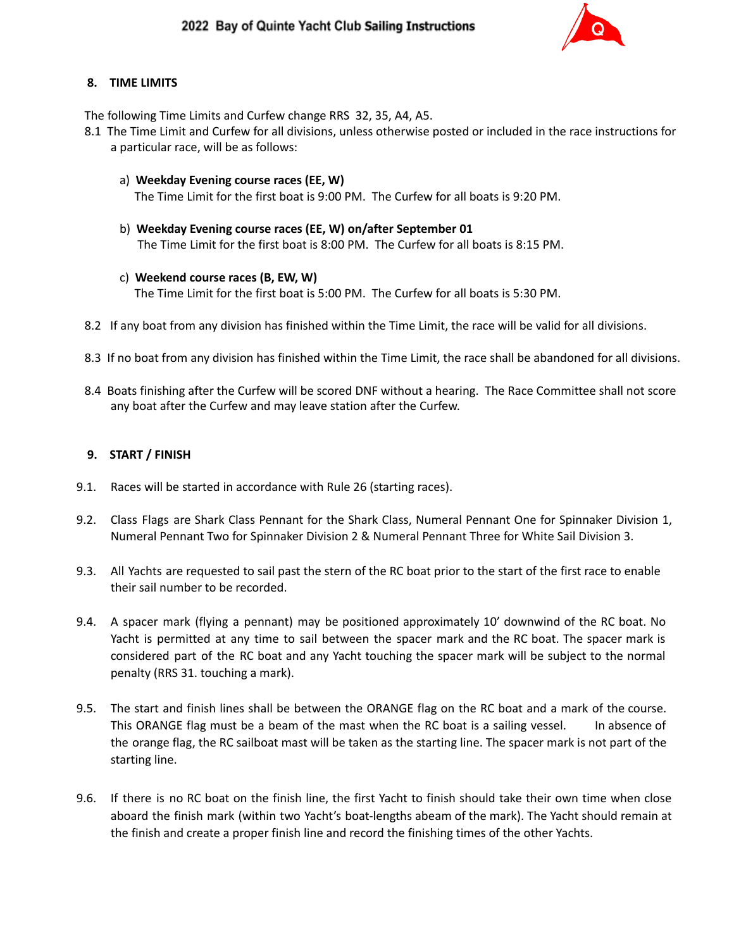

### **8. TIME LIMITS**

The following Time Limits and Curfew change RRS 32, 35, A4, A5.

- 8.1 The Time Limit and Curfew for all divisions, unless otherwise posted or included in the race instructions for a particular race, will be as follows:
	- a) **Weekday Evening course races (EE, W)** The Time Limit for the first boat is 9:00 PM. The Curfew for all boats is 9:20 PM.
	- b) **Weekday Evening course races (EE, W) on/after September 01** The Time Limit for the first boat is 8:00 PM. The Curfew for all boats is 8:15 PM.
	- c) **Weekend course races (B, EW, W)** The Time Limit for the first boat is 5:00 PM. The Curfew for all boats is 5:30 PM.
- 8.2 If any boat from any division has finished within the Time Limit, the race will be valid for all divisions.
- 8.3 If no boat from any division has finished within the Time Limit, the race shall be abandoned for all divisions.
- 8.4 Boats finishing after the Curfew will be scored DNF without a hearing. The Race Committee shall not score any boat after the Curfew and may leave station after the Curfew.

#### **9. START / FINISH**

- 9.1. Races will be started in accordance with Rule 26 (starting races).
- 9.2. Class Flags are Shark Class Pennant for the Shark Class, Numeral Pennant One for Spinnaker Division 1, Numeral Pennant Two for Spinnaker Division 2 & Numeral Pennant Three for White Sail Division 3.
- 9.3. All Yachts are requested to sail past the stern of the RC boat prior to the start of the first race to enable their sail number to be recorded.
- 9.4. A spacer mark (flying a pennant) may be positioned approximately 10' downwind of the RC boat. No Yacht is permitted at any time to sail between the spacer mark and the RC boat. The spacer mark is considered part of the RC boat and any Yacht touching the spacer mark will be subject to the normal penalty (RRS 31. touching a mark).
- 9.5. The start and finish lines shall be between the ORANGE flag on the RC boat and a mark of the course. This ORANGE flag must be a beam of the mast when the RC boat is a sailing vessel. In absence of the orange flag, the RC sailboat mast will be taken as the starting line. The spacer mark is not part of the starting line.
- 9.6. If there is no RC boat on the finish line, the first Yacht to finish should take their own time when close aboard the finish mark (within two Yacht's boat-lengths abeam of the mark). The Yacht should remain at the finish and create a proper finish line and record the finishing times of the other Yachts.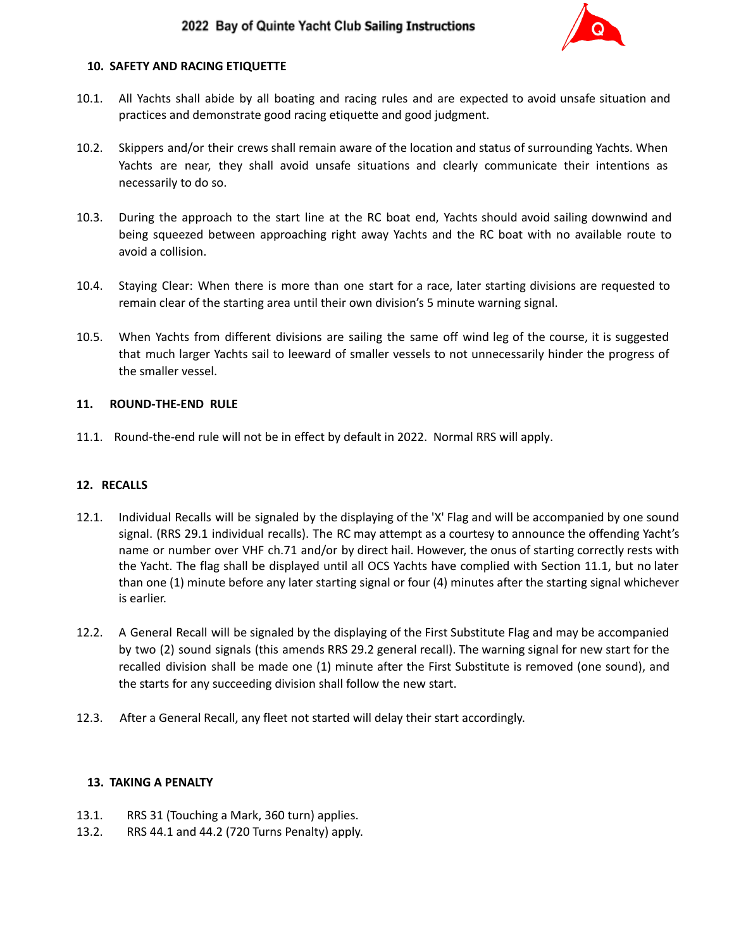

#### **10. SAFETY AND RACING ETIQUETTE**

- 10.1. All Yachts shall abide by all boating and racing rules and are expected to avoid unsafe situation and practices and demonstrate good racing etiquette and good judgment.
- 10.2. Skippers and/or their crews shall remain aware of the location and status of surrounding Yachts. When Yachts are near, they shall avoid unsafe situations and clearly communicate their intentions as necessarily to do so.
- 10.3. During the approach to the start line at the RC boat end, Yachts should avoid sailing downwind and being squeezed between approaching right away Yachts and the RC boat with no available route to avoid a collision.
- 10.4. Staying Clear: When there is more than one start for a race, later starting divisions are requested to remain clear of the starting area until their own division's 5 minute warning signal.
- 10.5. When Yachts from different divisions are sailing the same off wind leg of the course, it is suggested that much larger Yachts sail to leeward of smaller vessels to not unnecessarily hinder the progress of the smaller vessel.

#### **11. ROUND-THE-END RULE**

11.1. Round-the-end rule will not be in effect by default in 2022. Normal RRS will apply.

#### **12. RECALLS**

- 12.1. Individual Recalls will be signaled by the displaying of the 'X' Flag and will be accompanied by one sound signal. (RRS 29.1 individual recalls). The RC may attempt as a courtesy to announce the offending Yacht's name or number over VHF ch.71 and/or by direct hail. However, the onus of starting correctly rests with the Yacht. The flag shall be displayed until all OCS Yachts have complied with Section 11.1, but no later than one (1) minute before any later starting signal or four (4) minutes after the starting signal whichever is earlier.
- 12.2. A General Recall will be signaled by the displaying of the First Substitute Flag and may be accompanied by two (2) sound signals (this amends RRS 29.2 general recall). The warning signal for new start for the recalled division shall be made one (1) minute after the First Substitute is removed (one sound), and the starts for any succeeding division shall follow the new start.
- 12.3. After a General Recall, any fleet not started will delay their start accordingly.

#### **13. TAKING A PENALTY**

- 13.1. RRS 31 (Touching a Mark, 360 turn) applies.
- 13.2. RRS 44.1 and 44.2 (720 Turns Penalty) apply.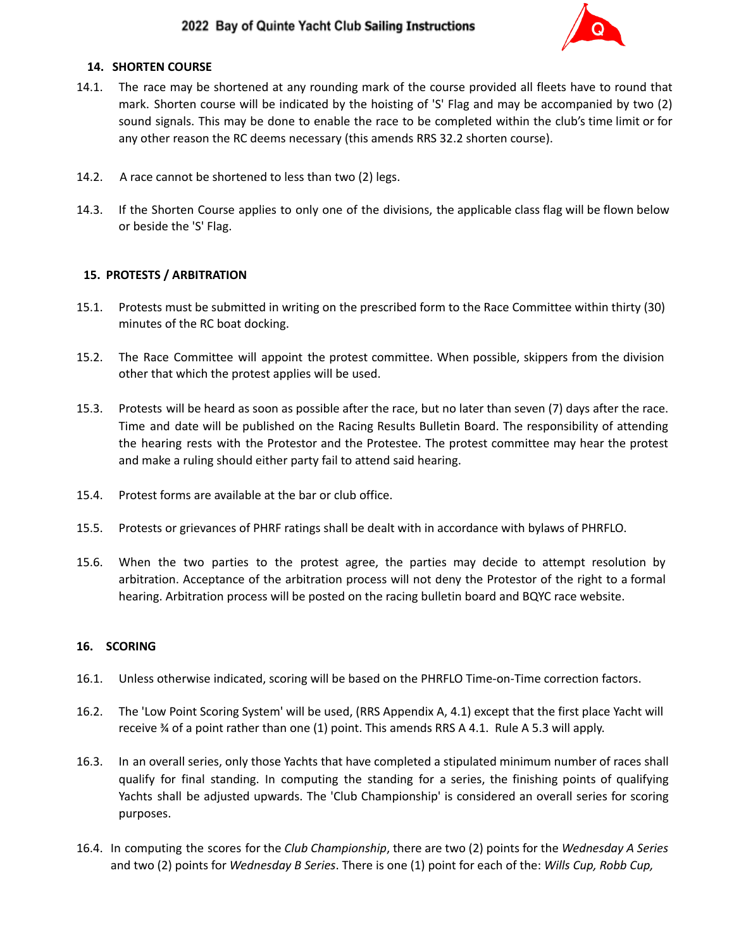

#### **14. SHORTEN COURSE**

- 14.1. The race may be shortened at any rounding mark of the course provided all fleets have to round that mark. Shorten course will be indicated by the hoisting of 'S' Flag and may be accompanied by two (2) sound signals. This may be done to enable the race to be completed within the club's time limit or for any other reason the RC deems necessary (this amends RRS 32.2 shorten course).
- 14.2. A race cannot be shortened to less than two (2) legs.
- 14.3. If the Shorten Course applies to only one of the divisions, the applicable class flag will be flown below or beside the 'S' Flag.

### **15. PROTESTS / ARBITRATION**

- 15.1. Protests must be submitted in writing on the prescribed form to the Race Committee within thirty (30) minutes of the RC boat docking.
- 15.2. The Race Committee will appoint the protest committee. When possible, skippers from the division other that which the protest applies will be used.
- 15.3. Protests will be heard as soon as possible after the race, but no later than seven (7) days after the race. Time and date will be published on the Racing Results Bulletin Board. The responsibility of attending the hearing rests with the Protestor and the Protestee. The protest committee may hear the protest and make a ruling should either party fail to attend said hearing.
- 15.4. Protest forms are available at the bar or club office.
- 15.5. Protests or grievances of PHRF ratings shall be dealt with in accordance with bylaws of PHRFLO.
- 15.6. When the two parties to the protest agree, the parties may decide to attempt resolution by arbitration. Acceptance of the arbitration process will not deny the Protestor of the right to a formal hearing. Arbitration process will be posted on the racing bulletin board and BQYC race website.

#### **16. SCORING**

- 16.1. Unless otherwise indicated, scoring will be based on the PHRFLO Time-on-Time correction factors.
- 16.2. The 'Low Point Scoring System' will be used, (RRS Appendix A, 4.1) except that the first place Yacht will receive ¾ of a point rather than one (1) point. This amends RRS A 4.1. Rule A 5.3 will apply.
- 16.3. In an overall series, only those Yachts that have completed a stipulated minimum number of races shall qualify for final standing. In computing the standing for a series, the finishing points of qualifying Yachts shall be adjusted upwards. The 'Club Championship' is considered an overall series for scoring purposes.
- 16.4. In computing the scores for the *Club Championship*, there are two (2) points for the *Wednesday A Series* and two (2) points for *Wednesday B Series*. There is one (1) point for each of the: *Wills Cup, Robb Cup,*